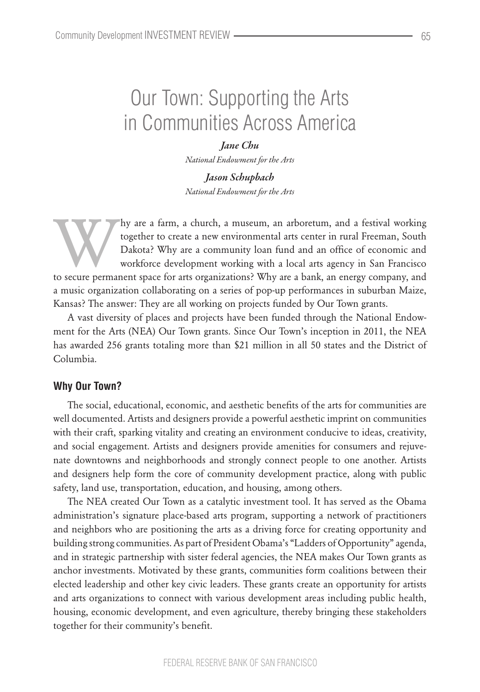# Our Town: Supporting the Arts in Communities Across America

*Jane Chu National Endowment for the Arts*

*Jason Schupbach National Endowment for the Arts*

hy are a farm, a church, a museum, an arboretum, and a festival working<br>together to create a new environmental arts center in rural Freeman, South<br>Dakota? Why are a community loan fund and an office of economic and<br>workfor together to create a new environmental arts center in rural Freeman, South Dakota? Why are a community loan fund and an office of economic and workforce development working with a local arts agency in San Francisco to secure permanent space for arts organizations? Why are a bank, an energy company, and a music organization collaborating on a series of pop-up performances in suburban Maize, Kansas? The answer: They are all working on projects funded by Our Town grants.

A vast diversity of places and projects have been funded through the National Endowment for the Arts (NEA) Our Town grants. Since Our Town's inception in 2011, the NEA has awarded 256 grants totaling more than \$21 million in all 50 states and the District of Columbia.

## **Why Our Town?**

The social, educational, economic, and aesthetic benefits of the arts for communities are well documented. Artists and designers provide a powerful aesthetic imprint on communities with their craft, sparking vitality and creating an environment conducive to ideas, creativity, and social engagement. Artists and designers provide amenities for consumers and rejuvenate downtowns and neighborhoods and strongly connect people to one another. Artists and designers help form the core of community development practice, along with public safety, land use, transportation, education, and housing, among others.

The NEA created Our Town as a catalytic investment tool. It has served as the Obama administration's signature place-based arts program, supporting a network of practitioners and neighbors who are positioning the arts as a driving force for creating opportunity and building strong communities. As part of President Obama's "Ladders of Opportunity" agenda, and in strategic partnership with sister federal agencies, the NEA makes Our Town grants as anchor investments. Motivated by these grants, communities form coalitions between their elected leadership and other key civic leaders. These grants create an opportunity for artists and arts organizations to connect with various development areas including public health, housing, economic development, and even agriculture, thereby bringing these stakeholders together for their community's benefit.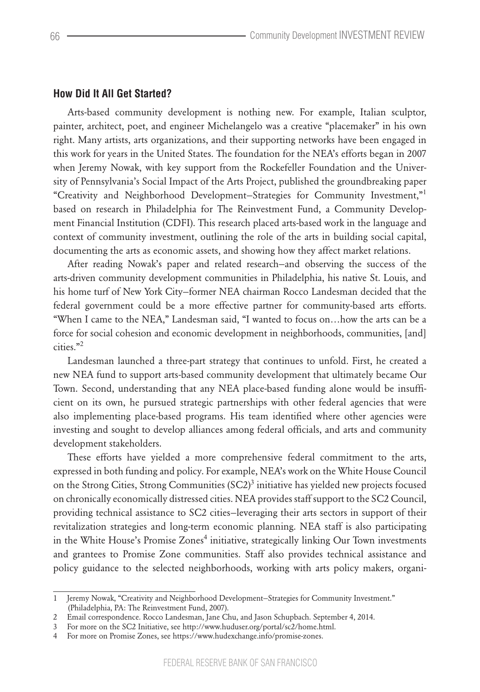## **How Did It All Get Started?**

Arts-based community development is nothing new. For example, Italian sculptor, painter, architect, poet, and engineer Michelangelo was a creative "placemaker" in his own right. Many artists, arts organizations, and their supporting networks have been engaged in this work for years in the United States. The foundation for the NEA's efforts began in 2007 when Jeremy Nowak, with key support from the Rockefeller Foundation and the University of Pennsylvania's Social Impact of the Arts Project, published the groundbreaking paper "Creativity and Neighborhood Development—Strategies for Community Investment,"<sup>1</sup> based on research in Philadelphia for The Reinvestment Fund, a Community Development Financial Institution (CDFI). This research placed arts-based work in the language and context of community investment, outlining the role of the arts in building social capital, documenting the arts as economic assets, and showing how they affect market relations.

After reading Nowak's paper and related research—and observing the success of the arts-driven community development communities in Philadelphia, his native St. Louis, and his home turf of New York City—former NEA chairman Rocco Landesman decided that the federal government could be a more effective partner for community-based arts efforts. "When I came to the NEA," Landesman said, "I wanted to focus on…how the arts can be a force for social cohesion and economic development in neighborhoods, communities, [and] cities."<sup>2</sup>

Landesman launched a three-part strategy that continues to unfold. First, he created a new NEA fund to support arts-based community development that ultimately became Our Town. Second, understanding that any NEA place-based funding alone would be insufficient on its own, he pursued strategic partnerships with other federal agencies that were also implementing place-based programs. His team identified where other agencies were investing and sought to develop alliances among federal officials, and arts and community development stakeholders.

These efforts have yielded a more comprehensive federal commitment to the arts, expressed in both funding and policy. For example, NEA's work on the White House Council on the Strong Cities, Strong Communities  ${(SC2)}^3$  initiative has yielded new projects focused on chronically economically distressed cities. NEA provides staff support to the SC2 Council, providing technical assistance to SC2 cities—leveraging their arts sectors in support of their revitalization strategies and long-term economic planning. NEA staff is also participating in the White House's Promise Zones<sup>4</sup> initiative, strategically linking Our Town investments and grantees to Promise Zone communities. Staff also provides technical assistance and policy guidance to the selected neighborhoods, working with arts policy makers, organi-

<sup>1</sup> Jeremy Nowak, "Creativity and Neighborhood Development—Strategies for Community Investment." (Philadelphia, PA: The Reinvestment Fund, 2007).

<sup>2</sup> Email correspondence. Rocco Landesman, Jane Chu, and Jason Schupbach. September 4, 2014.

<sup>3</sup> For more on the SC2 Initiative, see http://www.huduser.org/portal/sc2/home.html.

<sup>4</sup> For more on Promise Zones, see https://www.hudexchange.info/promise-zones.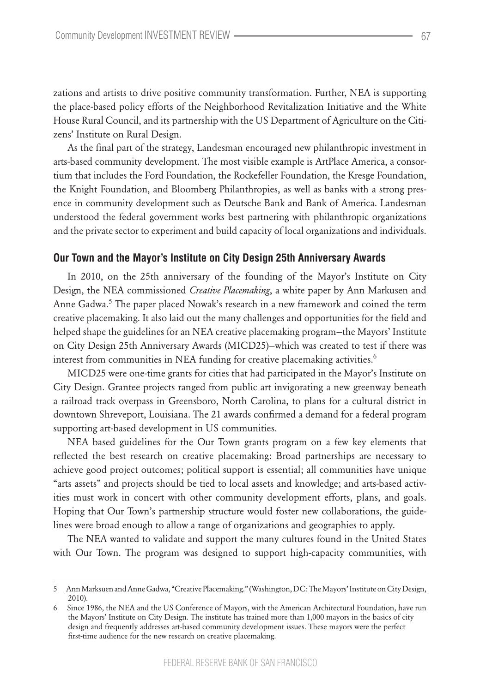zations and artists to drive positive community transformation. Further, NEA is supporting the place-based policy efforts of the Neighborhood Revitalization Initiative and the White House Rural Council, and its partnership with the US Department of Agriculture on the Citizens' Institute on Rural Design.

As the final part of the strategy, Landesman encouraged new philanthropic investment in arts-based community development. The most visible example is ArtPlace America, a consortium that includes the Ford Foundation, the Rockefeller Foundation, the Kresge Foundation, the Knight Foundation, and Bloomberg Philanthropies, as well as banks with a strong presence in community development such as Deutsche Bank and Bank of America. Landesman understood the federal government works best partnering with philanthropic organizations and the private sector to experiment and build capacity of local organizations and individuals.

#### **Our Town and the Mayor's Institute on City Design 25th Anniversary Awards**

In 2010, on the 25th anniversary of the founding of the Mayor's Institute on City Design, the NEA commissioned *Creative Placemaking*, a white paper by Ann Markusen and Anne Gadwa.<sup>5</sup> The paper placed Nowak's research in a new framework and coined the term creative placemaking. It also laid out the many challenges and opportunities for the field and helped shape the guidelines for an NEA creative placemaking program—the Mayors' Institute on City Design 25th Anniversary Awards (MICD25)—which was created to test if there was interest from communities in NEA funding for creative placemaking activities.<sup>6</sup>

MICD25 were one-time grants for cities that had participated in the Mayor's Institute on City Design. Grantee projects ranged from public art invigorating a new greenway beneath a railroad track overpass in Greensboro, North Carolina, to plans for a cultural district in downtown Shreveport, Louisiana. The 21 awards confirmed a demand for a federal program supporting art-based development in US communities.

NEA based guidelines for the Our Town grants program on a few key elements that reflected the best research on creative placemaking: Broad partnerships are necessary to achieve good project outcomes; political support is essential; all communities have unique "arts assets" and projects should be tied to local assets and knowledge; and arts-based activities must work in concert with other community development efforts, plans, and goals. Hoping that Our Town's partnership structure would foster new collaborations, the guidelines were broad enough to allow a range of organizations and geographies to apply.

The NEA wanted to validate and support the many cultures found in the United States with Our Town. The program was designed to support high-capacity communities, with

<sup>5</sup> Ann Marksuen and Anne Gadwa, "Creative Placemaking." (Washington, DC: The Mayors' Institute on City Design, 2010).

<sup>6</sup> Since 1986, the NEA and the US Conference of Mayors, with the American Architectural Foundation, have run the Mayors' Institute on City Design. The institute has trained more than 1,000 mayors in the basics of city design and frequently addresses art-based community development issues. These mayors were the perfect first-time audience for the new research on creative placemaking.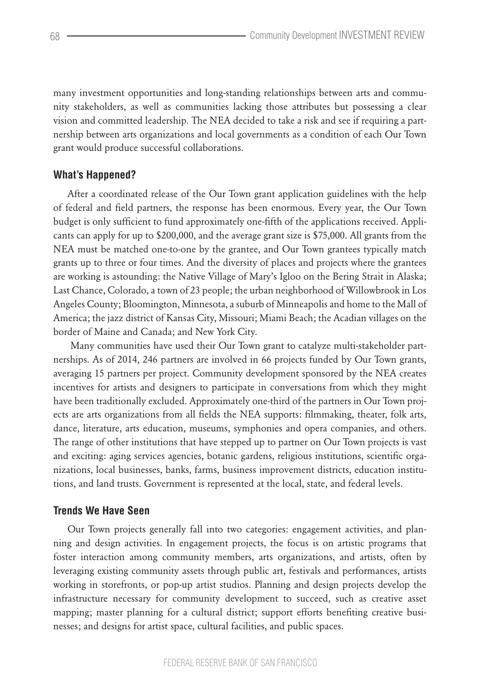many investment opportunities and long-standing relationships between arts and community stakeholders, as well as communities lacking those attributes but possessing a clear vision and committed leadership. The NEA decided to take a risk and see if requiring a partnership between arts organizations and local governments as a condition of each Our Town grant would produce successful collaborations.

# **What's Happened?**

After a coordinated release of the Our Town grant application guidelines with the help of federal and field partners, the response has been enormous. Every year, the Our Town budget is only sufficient to fund approximately one-fifth of the applications received. Applicants can apply for up to \$200,000, and the average grant size is \$75,000. All grants from the NEA must be matched one-to-one by the grantee, and Our Town grantees typically match grants up to three or four times. And the diversity of places and projects where the grantees are working is astounding: the Native Village of Mary's Igloo on the Bering Strait in Alaska; Last Chance, Colorado, a town of 23 people; the urban neighborhood of Willowbrook in Los Angeles County; Bloomington, Minnesota, a suburb of Minneapolis and home to the Mall of America; the jazz district of Kansas City, Missouri; Miami Beach; the Acadian villages on the border of Maine and Canada; and New York City.

 Many communities have used their Our Town grant to catalyze multi-stakeholder partnerships. As of 2014, 246 partners are involved in 66 projects funded by Our Town grants, averaging 15 partners per project. Community development sponsored by the NEA creates incentives for artists and designers to participate in conversations from which they might have been traditionally excluded. Approximately one-third of the partners in Our Town projects are arts organizations from all fields the NEA supports: filmmaking, theater, folk arts, dance, literature, arts education, museums, symphonies and opera companies, and others. The range of other institutions that have stepped up to partner on Our Town projects is vast and exciting: aging services agencies, botanic gardens, religious institutions, scientific organizations, local businesses, banks, farms, business improvement districts, education institutions, and land trusts. Government is represented at the local, state, and federal levels.

# **Trends We Have Seen**

Our Town projects generally fall into two categories: engagement activities, and planning and design activities. In engagement projects, the focus is on artistic programs that foster interaction among community members, arts organizations, and artists, often by leveraging existing community assets through public art, festivals and performances, artists working in storefronts, or pop-up artist studios. Planning and design projects develop the infrastructure necessary for community development to succeed, such as creative asset mapping; master planning for a cultural district; support efforts benefiting creative businesses; and designs for artist space, cultural facilities, and public spaces.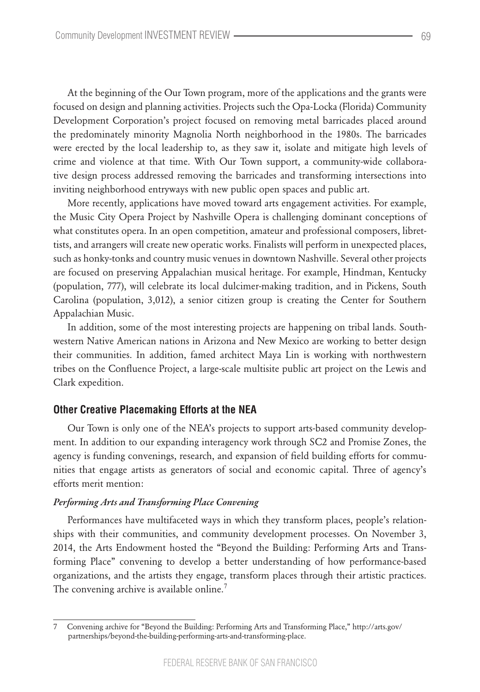At the beginning of the Our Town program, more of the applications and the grants were focused on design and planning activities. Projects such the Opa-Locka (Florida) Community Development Corporation's project focused on removing metal barricades placed around the predominately minority Magnolia North neighborhood in the 1980s. The barricades were erected by the local leadership to, as they saw it, isolate and mitigate high levels of crime and violence at that time. With Our Town support, a community-wide collaborative design process addressed removing the barricades and transforming intersections into inviting neighborhood entryways with new public open spaces and public art.

More recently, applications have moved toward arts engagement activities. For example, the Music City Opera Project by Nashville Opera is challenging dominant conceptions of what constitutes opera. In an open competition, amateur and professional composers, librettists, and arrangers will create new operatic works. Finalists will perform in unexpected places, such as honky-tonks and country music venues in downtown Nashville. Several other projects are focused on preserving Appalachian musical heritage. For example, Hindman, Kentucky (population, 777), will celebrate its local dulcimer-making tradition, and in Pickens, South Carolina (population, 3,012), a senior citizen group is creating the Center for Southern Appalachian Music.

In addition, some of the most interesting projects are happening on tribal lands. Southwestern Native American nations in Arizona and New Mexico are working to better design their communities. In addition, famed architect Maya Lin is working with northwestern tribes on the Confluence Project, a large-scale multisite public art project on the Lewis and Clark expedition.

## **Other Creative Placemaking Efforts at the NEA**

Our Town is only one of the NEA's projects to support arts-based community development. In addition to our expanding interagency work through SC2 and Promise Zones, the agency is funding convenings, research, and expansion of field building efforts for communities that engage artists as generators of social and economic capital. Three of agency's efforts merit mention:

#### *Performing Arts and Transforming Place Convening*

Performances have multifaceted ways in which they transform places, people's relationships with their communities, and community development processes. On November 3, 2014, the Arts Endowment hosted the "Beyond the Building: Performing Arts and Transforming Place" convening to develop a better understanding of how performance-based organizations, and the artists they engage, transform places through their artistic practices. The convening archive is available online.<sup>7</sup>

<sup>7</sup> Convening archive for "Beyond the Building: Performing Arts and Transforming Place," http://arts.gov/ partnerships/beyond-the-building-performing-arts-and-transforming-place.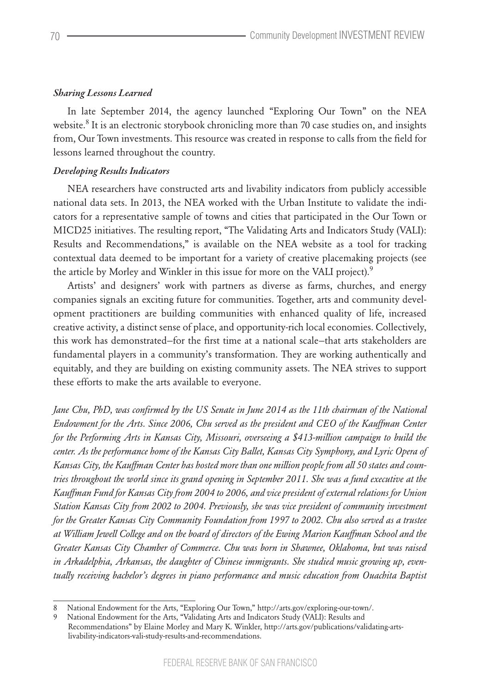## *Sharing Lessons Learned*

In late September 2014, the agency launched "Exploring Our Town" on the NEA website. $8$  It is an electronic storybook chronicling more than 70 case studies on, and insights from, Our Town investments. This resource was created in response to calls from the field for lessons learned throughout the country.

# *Developing Results Indicators*

NEA researchers have constructed arts and livability indicators from publicly accessible national data sets. In 2013, the NEA worked with the Urban Institute to validate the indicators for a representative sample of towns and cities that participated in the Our Town or MICD25 initiatives. The resulting report, "The Validating Arts and Indicators Study (VALI): Results and Recommendations," is available on the NEA website as a tool for tracking contextual data deemed to be important for a variety of creative placemaking projects (see the article by Morley and Winkler in this issue for more on the VALI project).<sup>9</sup>

Artists' and designers' work with partners as diverse as farms, churches, and energy companies signals an exciting future for communities. Together, arts and community development practitioners are building communities with enhanced quality of life, increased creative activity, a distinct sense of place, and opportunity-rich local economies. Collectively, this work has demonstrated—for the first time at a national scale—that arts stakeholders are fundamental players in a community's transformation. They are working authentically and equitably, and they are building on existing community assets. The NEA strives to support these efforts to make the arts available to everyone.

*Jane Chu, PhD, was confirmed by the US Senate in June 2014 as the 11th chairman of the National Endowment for the Arts. Since 2006, Chu served as the president and CEO of the Kauffman Center for the Performing Arts in Kansas City, Missouri, overseeing a \$413-million campaign to build the center. As the performance home of the Kansas City Ballet, Kansas City Symphony, and Lyric Opera of Kansas City, the Kauffman Center has hosted more than one million people from all 50 states and countries throughout the world since its grand opening in September 2011. She was a fund executive at the Kauffman Fund for Kansas City from 2004 to 2006, and vice president of external relations for Union Station Kansas City from 2002 to 2004. Previously, she was vice president of community investment for the Greater Kansas City Community Foundation from 1997 to 2002. Chu also served as a trustee at William Jewell College and on the board of directors of the Ewing Marion Kauffman School and the Greater Kansas City Chamber of Commerce. Chu was born in Shawnee, Oklahoma, but was raised in Arkadelphia, Arkansas, the daughter of Chinese immigrants. She studied music growing up, eventually receiving bachelor's degrees in piano performance and music education from Ouachita Baptist* 

<sup>8</sup> National Endowment for the Arts, "Exploring Our Town," http://arts.gov/exploring-our-town/.

<sup>9</sup> National Endowment for the Arts, "Validating Arts and Indicators Study (VALI): Results and

Recommendations" by Elaine Morley and Mary K. Winkler, http://arts.gov/publications/validating-artslivability-indicators-vali-study-results-and-recommendations.